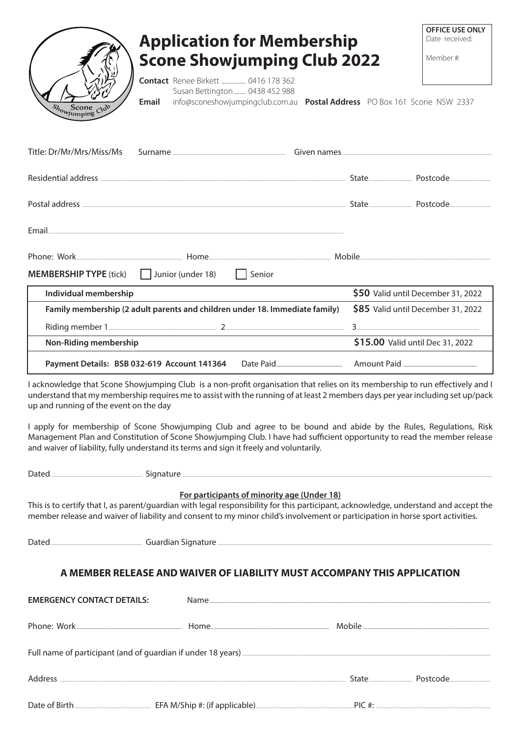

## **Application for Membership Scone Showjumping Club 2022**

**OFFICE USE ONLY** Date received:

Member #:

**Contact** Renee Birkett ................ 0416 178 362 Susan Bettington........ 0438 452 988 **Email** 

info@sconeshowjumpingclub.com.au Postal Address PO Box 161 Scone NSW 2337

| Title: Dr/Mr/Mrs/Miss/Ms Surname                                                                         |                                                                                                                            |  |                                    |  |
|----------------------------------------------------------------------------------------------------------|----------------------------------------------------------------------------------------------------------------------------|--|------------------------------------|--|
| Residential address <u>Communications</u> Calculation and Calculation and Calculations Cate and Postcode |                                                                                                                            |  |                                    |  |
|                                                                                                          |                                                                                                                            |  |                                    |  |
|                                                                                                          |                                                                                                                            |  |                                    |  |
|                                                                                                          |                                                                                                                            |  |                                    |  |
| <b>MEMBERSHIP TYPE</b> (tick) Junior (under 18) Senior                                                   |                                                                                                                            |  |                                    |  |
| Individual membership                                                                                    |                                                                                                                            |  | \$50 Valid until December 31, 2022 |  |
| Family membership (2 adult parents and children under 18. Immediate family)                              |                                                                                                                            |  | \$85 Valid until December 31, 2022 |  |
|                                                                                                          |                                                                                                                            |  |                                    |  |
| Non-Riding membership                                                                                    |                                                                                                                            |  | \$15.00 Valid until Dec 31, 2022   |  |
|                                                                                                          | Payment Details: BSB 032-619 Account 141364 Date Paid Date Announce Amount Paid Amount Details: BSB 032-619 Account 141364 |  |                                    |  |

I acknowledge that Scone Showjumping Club is a non-profit organisation that relies on its membership to run effectively and I understand that my membership requires me to assist with the running of at least 2 members days per year including set up/pack up and running of the event on the day

I apply for membership of Scone Showjumping Club and agree to be bound and abide by the Rules, Regulations, Risk Management Plan and Constitution of Scone Showjumping Club. I have had sufficient opportunity to read the member release and waiver of liability, fully understand its terms and sign it freely and voluntarily.

Dated.............. 

#### For participants of minority age (Under 18)

This is to certify that I, as parent/guardian with legal responsibility for this participant, acknowledge, understand and accept the member release and waiver of liability and consent to my minor child's involvement or participation in horse sport activities.

Dated ...... Guardian Signature .....

#### A MEMBER RELEASE AND WAIVER OF LIABILITY MUST ACCOMPANY THIS APPLICATION

| <b>EMERGENCY CONTACT DETAILS:</b> |  |                |  |  |  |  |
|-----------------------------------|--|----------------|--|--|--|--|
|                                   |  |                |  |  |  |  |
|                                   |  |                |  |  |  |  |
|                                   |  |                |  |  |  |  |
|                                   |  |                |  |  |  |  |
|                                   |  |                |  |  |  |  |
| Address                           |  | State Postcode |  |  |  |  |
|                                   |  |                |  |  |  |  |
|                                   |  |                |  |  |  |  |